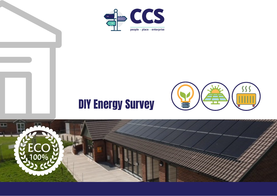

# DIY Energy Survey



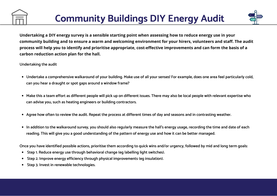

Undertaking a DIY energy survey is a sensible starting point when assessing how to reduce energy use in your community building and to ensure a warm and welcoming environment for your hirers, volunteers and staff. The audit process will help you to identify and prioritise appropriate, cost-effective improvements and can form the basis of a **carbon reduction action plan for the hall.**

#### **Undertaking the audit**

- Undertake a comprehensive walkaround of your building. Make use of all your senses! For example, does one area feel particularly cold, **can you hear a draught or spot gaps around a window frame?**
- Make this a team effort as different people will pick up on different issues. There may also be local people with relevant expertise who **can advise you, such as heating engineers or building contractors.**
- Agree how often to review the audit. Repeat the process at different times of day and seasons and in contrasting weather.
- In addition to the walkaround survey, you should also regularly measure the hall's energy usage, recording the time and date of each reading. This will give you a good understanding of the pattern of energy use and how it can be better managed.

Once you have identified possible actions, prioritise them according to quick wins and/or urgency, followed by mid and long term goals:

- **Step 1. Reduce energy use through behavioral change (eg labelling light switches).**
- **Step 2. Improve energy efficiency through physical improvements (eg insulation).**
- **Step 3. Invest in renewable technologies.**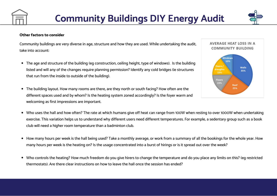

#### **Other factors to consider**

Community buildings are very diverse in age, structure and how they are used. While undertaking the audit, take into account:

- The age and structure of the building (eg construction, ceiling height, type of windows). Is the building listed and will any of the changes require planning permission? Identify any cold bridges (ie structures that run from the inside to outside of the building).
- The building layout. How many rooms are there, are they north or south facing? How often are the different spaces used and by whom? Is the heating system zoned accordingly? Is the foyer warm and welcoming as first impressions are important.



- Who uses the hall and how often? The rate at which humans give off heat can range from 100W when resting to over 1000W when undertaking exercise. This variation helps us to understand why different users need different temperatures. For example, a sedentary group such as a book club will need a higher room temperature than a badminton club.
- How many hours per week is the hall being used? Take a monthly average, or work from a summary of all the bookings for the whole year. How many hours per week is the heating on? Is the usage concentrated into a burst of hirings or is it spread out over the week?
- Who controls the heating? How much freedom do you give hirers to change the temperature and do you place any limits on this? (eg restricted thermostats). Are there clear instructions on how to leave the hall once the session has ended?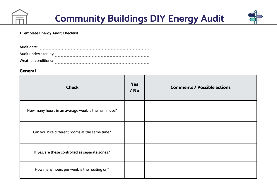



#### **1.Template Energy Audit Checklist**

| Audit date:          |  |
|----------------------|--|
| Audit undertaken by: |  |
| Weather conditions:  |  |

## General

| <b>Check</b>                                          | Yes<br>/ No | <b>Comments / Possible actions</b> |
|-------------------------------------------------------|-------------|------------------------------------|
| How many hours in an average week is the hall in use? |             |                                    |
| Can you hire different rooms at the same time?        |             |                                    |
| If yes, are these controlled as separate zones?       |             |                                    |
| How many hours per week is the heating on?            |             |                                    |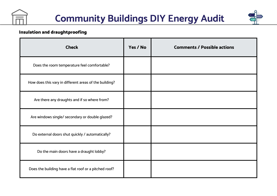



## Insulation and draughtproofing

| <b>Check</b>                                           | Yes / No | <b>Comments / Possible actions</b> |
|--------------------------------------------------------|----------|------------------------------------|
| Does the room temperature feel comfortable?            |          |                                    |
| How does this vary in different areas of the building? |          |                                    |
| Are there any draughts and if so where from?           |          |                                    |
| Are windows single/ secondary or double glazed?        |          |                                    |
| Do external doors shut quickly / automatically?        |          |                                    |
| Do the main doors have a draught lobby?                |          |                                    |
| Does the building have a flat roof or a pitched roof?  |          |                                    |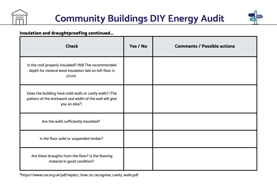



## Insulation and draughtproofing continued...

| <b>Check</b>                                                                                                                          | Yes / No | <b>Comments / Possible actions</b> |
|---------------------------------------------------------------------------------------------------------------------------------------|----------|------------------------------------|
| Is the roof properly insulated? (NB The recommended<br>depth for mineral wool insulation laid on loft floor is<br>27cm)               |          |                                    |
| Does the building have solid walls or cavity walls? (The<br>pattern of the brickwork and width of the wall will give<br>you an idea*) |          |                                    |
| Are the walls sufficiently insulated?                                                                                                 |          |                                    |
| Is the floor solid or suspended timber?                                                                                               |          |                                    |
| Are there draughts from the floor? Is the flooring<br>material in good condition?                                                     |          |                                    |

\*https://www.cse.org.uk/pdf/wpdcc\_how\_to\_recognise\_cavity\_walls.pdf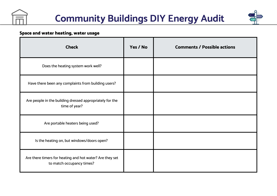



## Space and water heating, water usage

| <b>Check</b>                                                                          | Yes / No | <b>Comments / Possible actions</b> |
|---------------------------------------------------------------------------------------|----------|------------------------------------|
| Does the heating system work well?                                                    |          |                                    |
| Have there been any complaints from building users?                                   |          |                                    |
| Are people in the building dressed appropriately for the<br>time of year?             |          |                                    |
| Are portable heaters being used?                                                      |          |                                    |
| Is the heating on, but windows/doors open?                                            |          |                                    |
| Are there timers for heating and hot water? Are they set<br>to match occupancy times? |          |                                    |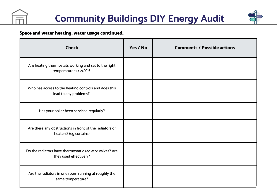



## Space and water heating, water usage continued...

| <b>Check</b>                                                                      | Yes / No | <b>Comments / Possible actions</b> |
|-----------------------------------------------------------------------------------|----------|------------------------------------|
| Are heating thermostats working and set to the right<br>temperature (19-20°C)?    |          |                                    |
| Who has access to the heating controls and does this<br>lead to any problems?     |          |                                    |
| Has your boiler been serviced regularly?                                          |          |                                    |
| Are there any obstructions in front of the radiators or<br>heaters? (eg curtains) |          |                                    |
| Do the radiators have thermostatic radiator valves? Are<br>they used effectively? |          |                                    |
| Are the radiators in one room running at roughly the<br>same temperature?         |          |                                    |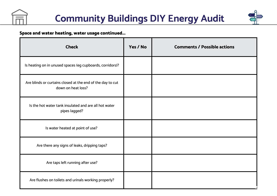



## Space and water heating, water usage continued...

| <b>Check</b>                                                                     | Yes / No | <b>Comments / Possible actions</b> |
|----------------------------------------------------------------------------------|----------|------------------------------------|
| Is heating on in unused spaces (eg cupboards, corridors)?                        |          |                                    |
| Are blinds or curtains closed at the end of the day to cut<br>down on heat loss? |          |                                    |
| Is the hot water tank insulated and are all hot water<br>pipes lagged?           |          |                                    |
| Is water heated at point of use?                                                 |          |                                    |
| Are there any signs of leaks, dripping taps?                                     |          |                                    |
| Are taps left running after use?                                                 |          |                                    |
| Are flushes on toilets and urinals working properly?                             |          |                                    |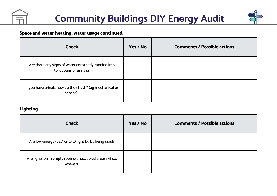



## Space and water heating, water usage continued...

| <b>Check</b>                                                                    | Yes / No | <b>Comments / Possible actions</b> |
|---------------------------------------------------------------------------------|----------|------------------------------------|
| Are there any signs of water constantly running into<br>toilet pans or urinals? |          |                                    |
| If you have urinals how do they flush? (eg mechanical or<br>sensor?)            |          |                                    |

## Lighting

| <b>Check</b>                                                      | Yes / No | <b>Comments / Possible actions</b> |
|-------------------------------------------------------------------|----------|------------------------------------|
| Are low-energy (LED or CFL) light bulbs being used?               |          |                                    |
| Are lights on in empty rooms/unoccupied areas? (if so,<br>where?) |          |                                    |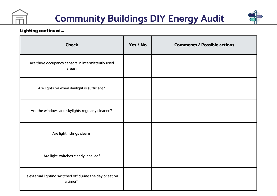



## Lighting continued...

| <b>Check</b>                                                           | Yes / No | <b>Comments / Possible actions</b> |
|------------------------------------------------------------------------|----------|------------------------------------|
| Are there occupancy sensors in intermittently used<br>areas?           |          |                                    |
| Are lights on when daylight is sufficient?                             |          |                                    |
| Are the windows and skylights regularly cleaned?                       |          |                                    |
| Are light fittings clean?                                              |          |                                    |
| Are light switches clearly labelled?                                   |          |                                    |
| Is external lighting switched off during the day or set on<br>a timer? |          |                                    |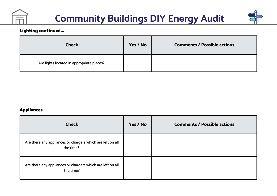



## Lighting continued...

| <b>Check</b>                              | Yes / No | <b>Comments / Possible actions</b> |
|-------------------------------------------|----------|------------------------------------|
| Are lights located in appropriate places? |          |                                    |

## Appliances

| <b>Check</b>                                                            | Yes / No | <b>Comments / Possible actions</b> |
|-------------------------------------------------------------------------|----------|------------------------------------|
| Are there any appliances or chargers which are left on all<br>the time? |          |                                    |
| Are there any appliances or chargers which are left on all<br>the time? |          |                                    |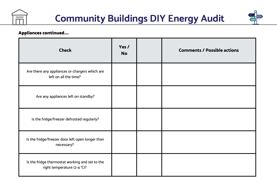



## Appliances continued....

| <b>Check</b>                                                                   | Yes /<br><b>No</b> | <b>Comments / Possible actions</b> |
|--------------------------------------------------------------------------------|--------------------|------------------------------------|
| Are there any appliances or chargers which are<br>left on all the time?        |                    |                                    |
| Are any appliances left on standby?                                            |                    |                                    |
| Is the fridge/freezer defrosted regularly?                                     |                    |                                    |
| Is the fridge/freezer door left open longer than<br>necessary?                 |                    |                                    |
| Is the fridge thermostat working and set to the<br>right temperature (2-4 °C)? |                    |                                    |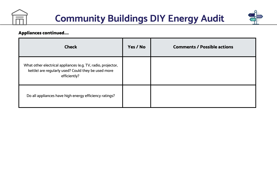



## Appliances continued....

| <b>Check</b>                                                                                                                        | Yes / No | <b>Comments / Possible actions</b> |
|-------------------------------------------------------------------------------------------------------------------------------------|----------|------------------------------------|
| What other electrical appliances (e.g. TV, radio, projector,<br>kettle) are regularly used? Could they be used more<br>efficiently? |          |                                    |
| Do all appliances have high energy efficiency ratings?                                                                              |          |                                    |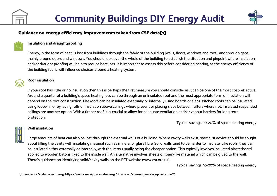

#### **Insulation and draughtproofing**

Energy, in the form of heat, is lost from buildings through the fabric of the building (walls, floors, windows and roof), and through gaps, mainly around doors and windows. You should look over the whole of the building to establish the situation and pinpoint where insulation and/or draught proofing will help to reduce heat loss. It is important to assess this before considering heating, as the energy efficiency of the building fabric will influence choices around a heating system.



#### **Roof insulation**

If your roof has little or no insulation then this is perhaps the first measure you should consider as it can be one of the most cost- effective. Around a quarter of a building's space heating loss can be through an uninsulated roof and the most appropriate form of insulation will depend on the roof construction. Flat roofs can be insulated externally or internally using boards or slabs. Pitched roofs can be insulated using loose-fill or by laying rolls of insulation above ceilings where present or placing slabs between rafters where not. Insulated suspended ceilings are another option. With a timber roof, it is crucial to allow for adequate ventilation and/or vapour barriers for long term protection.

Typical savings: 10-20% of space heating energy



#### **Wall insulation**

Large amounts of heat can also be lost through the external walls of a building. Where cavity walls exist, specialist advice should be sought about filling the cavity with insulating material such as mineral or glass fibre. Solid walls tend to be harder to insulate. Like roofs, they can be insulated either externally or internally, with the latter usually being the cheaper option. This typically involves insulated plasterboard applied to wooden batons fixed to the inside wall. An alternative involves sheets of foam-like material which can be glued to the wall. There's guidance on identifying solid/cavity walls on the EST website (www.est.org.uk).

Typical savings: 10-20% of space heating energy

[1] Centre for Sustainable Energy https://www.cse.org.uk/local-energy/download/an-energy-survey-pro-forma-76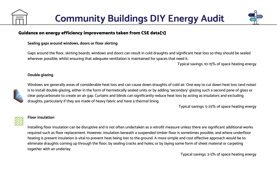

#### **Sealing gaps around windows, doors or floor skirting**

Gaps around the floor, skirting boards, windows and doors can result in cold draughts and significant heat loss so they should be sealed wherever possible, whilst ensuring that adequate ventilation is maintained for spaces that need it.

Typical savings: 10-15% of space heating energy

#### **Double glazing**



Windows are generally areas of considerable heat loss and can cause down draughts of cold air. One way to cut down heat loss (and noise) is to install double glazing, either in the form of hermetically sealed units or by adding 'secondary' glazing such a second pane of glass or clear polycarbonate to create an air gap. Curtains and blinds can significantly reduce heat loss by acting as insulators and excluding draughts, particularly if they are made of heavy fabric and have a thermal lining.

Typical savings: 5-25% of space heating energy



#### **Floor insulation**

Installing floor insulation can be disruptive and is not often undertaken as a retrofit measure unless there are significant additional works required such as floor replacement. However, insulation beneath a suspended timber floor is sometimes possible, and where underfloor heating is present insulation is vital to prevent heat being lost to the ground. A more simple and cost effective approach would be to eliminate draughts coming up through the floor, by sealing cracks and holes; or by laying some form of sheet material or carpeting together with an underlay.

Typical savings: 3-5% of space heating energy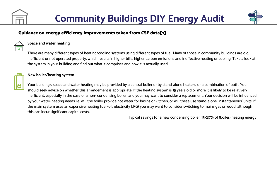



#### **Space and water heating**

There are many different types of heating/cooling systems using different types of fuel. Many of those in community buildings are old, inefficient or not operated property, which results in higher bills, higher carbon emissions and ineffective heating or cooling. Take a look at the system in your building and find out what it comprises and how it is actually used.



#### **New boiler/heating system**

Your building's space and water heating may be provided by a central boiler or by stand-alone heaters, or a combination of both. You should seek advice on whether this arrangement is appropriate. If the heating system is 15 years old or more it is likely to be relatively inefficient, especially in the case of a non- condensing boiler, and you may want to consider a replacement. Your decision will be influenced by your water-heating needs i.e. will the boiler provide hot water for basins or kitchen, or will these use stand-alone 'instantaneous' units. If the main system uses an expensive heating fuel (oil, electricity LPG) you may want to consider switching to mains gas or wood, although this can incur significant capital costs.

Typical savings for a new condensing boiler: 15-20% of (boiler) heating energy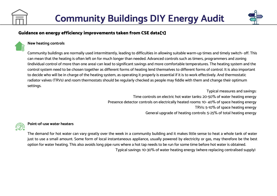

#### **New heating controls**

Community buildings are normally used intermittently, leading to difficulties in allowing suitable warm-up times and timely switch- off. This can mean that the heating is often left on for much longer than needed. Advanced controls such as timers, programmers and zoning (individual control of more than one area) can lead to significant savings and more comfortable temperatures. The heating system and the control system need to be chosen together as different forms of heating lend themselves to different forms of control. It is also important to decide who will be in charge of the heating system, as operating it properly is essential if it is to work effectively. And thermostatic radiator valves (TRVs) and room thermostats should be regularly checked as people may fiddle with them and change their optimum settings.

> Typical measures and savings: Time controls on electric hot water tanks: 20-50% of water heating energy Presence detector controls on electrically heated rooms: 10- 40% of space heating energy TRVs: 5-10% of space heating energy General upgrade of heating controls: 5-25% of total heating energy

#### **Point-of-use water heaters**

The demand for hot water can vary greatly over the week in a community building and it makes little sense to heat a whole tank of water just to use a small amount. Some form of local instantaneous appliance, usually powered by electricity or gas, may therefore be the best option for water heating. This also avoids long pipe runs where a hot tap needs to be run for some time before hot water is obtained. Typical savings: 10-30% of water heating energy (where replacing centralised supply)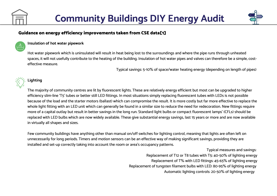

#### **Insulation of hot water pipework**

Hot water pipework which is uninsulated will result in heat being lost to the surroundings and where the pipe runs through unheated spaces, it will not usefully contribute to the heating of the building. Insulation of hot water pipes and valves can therefore be a simple, costeffective measure.

Typical savings: 5-10% of space/water heating energy (depending on length of pipes)

## **Lighting**

The majority of community centres are lit by fluorescent lights. These are relatively energy efficient but most can be upgraded to higher efficiency slim-line 'T5' tubes or better still LED fittings. In most situations simply replacing fluorescent tubes with LEDs is not possible because of the load and the starter motors (ballast) which can compromise the result. It is more costly but far more effective to replace the whole light fitting with an LED unit which can generally be found in a similar size to reduce the need for redecoration. New fittings require more of a capital outlay but result in better savings in the long run. Standard light bulbs or compact fluorescent lamps' (CFLs) should be replaced with LED bulbs which are now widely available. These give substantial energy savings, last 15 years or more and are now available in virtually all shapes and sizes.

Few community buildings have anything other than manual on/off switches for lighting control, meaning that lights are often left on unnecessarily for long periods. Timers and motion sensors can be an effective way of making significant savings, providing they are installed and set-up correctly taking into account the room or area's occupancy patterns.

> Typical measures and savings: Replacement of T12 or T8 tubes with T5: 40-50% of lighting energy Replacement of T% with LED fittings: 45-65% of lighting energy Replacement of tungsten filament bulbs with LED: 80-95% of lighting energy Automatic lighting controls: 20-50% of lighting energy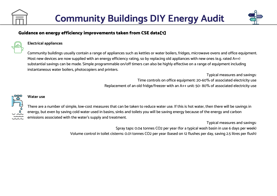



#### **Electrical appliances**

Community buildings usually contain a range of appliances such as kettles or water boilers, fridges, microwave ovens and office equipment. Most new devices are now supplied with an energy efficiency rating, so by replacing old appliances with new ones (e.g. rated A++) substantial savings can be made. Simple programmable on/off timers can also be highly effective on a range of equipment including instantaneous water boilers, photocopiers and printers.

> Typical measures and savings: Time controls on office equipment: 20-60% of associated electricity use Replacement of an old fridge/freezer with an A++ unit: 50- 80% of associated electricity use

#### **Water use**

There are a number of simple, low-cost measures that can be taken to reduce water use. If this is hot water, then there will be savings in energy, but even by saving cold water used in basins, sinks and toilets you will be saving energy because of the energy and carbon emissions associated with the water's supply and treatment.

Typical measures and savings:

Spray taps: 0.04 tonnes CO2 per year (for a typical wash basin in use 6 days per week)

Volume control in toilet cisterns: 0.01 tonnes CO2 per year (based on 12 flushes per day, saving 2.5 litres per flush)

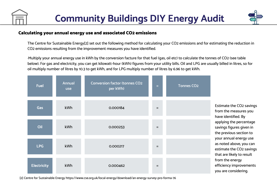

## Calculating your annual energy use and associated CO2 emissions

The Centre for Sustainable Energy[2] set out the following method for calculating your CO2 emissions and for estimating the reduction in CO2 emissions resulting from the improvement measures you have identified.

·Multiply your annual energy use in kWh by the conversion facture for that fuel (gas, oil etc) to calculate the tonnes of CO2 (see table below). For gas and electricity, you can get kilowatt-hour (kWh) figures from your utility bills. Oil and LPG are usually billed in litres, so for oil multiply number of litres by 10.3 to get kWh, and for LPG multiply number of litres by 6.96 to get kWh.

| <b>Fuel</b>        | <b>Annual</b><br><b>use</b> | <b>Conversion factor (tonnes CO2</b><br>per kWh) | $=$ | <b>Tonnes CO2</b> |                                                                                                                                                                                                                                                                          |  |
|--------------------|-----------------------------|--------------------------------------------------|-----|-------------------|--------------------------------------------------------------------------------------------------------------------------------------------------------------------------------------------------------------------------------------------------------------------------|--|
| <b>Gas</b>         | <b>kWh</b>                  | 0.000184                                         | $=$ |                   | Estimate the CO2 savings<br>from the measures you<br>have identified. By<br>applying the percentage<br>savings figures given in<br>the previous section to<br>your annual energy use<br>as noted above, you can<br>estimate the CO2 savings<br>that are likely to result |  |
| Oil                | <b>kWh</b>                  | 0.000253                                         | $=$ |                   |                                                                                                                                                                                                                                                                          |  |
| <b>LPG</b>         | kWh                         | 0.000217                                         | $=$ |                   |                                                                                                                                                                                                                                                                          |  |
| <b>Electricity</b> | <b>kWh</b>                  | 0.000462                                         | $=$ |                   | from the energy<br>efficiency improvements<br>you are considering.                                                                                                                                                                                                       |  |

[2] Centre for Sustainable Energy https://www.cse.org.uk/local-energy/download/an-energy-survey-pro-forma-76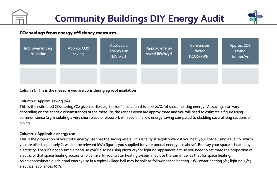

## CO2 savings from energy efficiency measures

| Improvement eg<br>Insulation | Approx. CO <sub>2</sub><br>saving | Applicable<br>energy use<br>[kWh/yr] | Approx. energy<br>saved [kWh/yr] | Conversion<br>factor<br>[tCO2/kWh] | Approx. CO <sub>2</sub><br>saving<br>[tonnes/yr] |
|------------------------------|-----------------------------------|--------------------------------------|----------------------------------|------------------------------------|--------------------------------------------------|
|                              |                                   |                                      |                                  |                                    |                                                  |

**Column 1: This is the measure you are considering eg roof insulation**

#### **Column 2: Approx. saving (%)**

This is the estimated CO2 saving (%) given earlier, e.g. for roof insulation this is 10-20% (of space heating energy). As savings can vary depending on the specific circumstances of the measure, the ranges given are approximate and you will need to estimate a figure using common sense (e.g. insulating a very short piece of pipework will result in a low energy saving compared to cladding several long sections of piping.)

#### **Column 3: Applicable energy use**

This is the proportion of your total energy use that the saving refers. This is fairly straightforward if you heat your space using a fuel for which you are billed separately (it will be the relevant kWh figures you supplied for your annual energy use above). But, say your space is heated by electricity. Then it's not so simple because you'll also be using electricty for lighting, appliances etc, so you need to estimate the proportion of electricity that space heating accounts for. Similarly, your water heating system may use the same fuel as that for space heating. As an approximate guide, total energy use in a typical village hall may be split as follows: space heating 70%; water heating 5%; lighting 15%; electrical appliances 10%.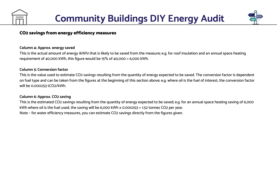

## CO2 savings from energy efficiency measures

#### **Column 4: Approx. energy saved**

This is the actual amount of energy (kWh) that is likely to be saved from the measure; e.g. for roof insulation and an annual space heating requirement of 40,000 kWh, this figure would be 15% of 40,000 = 6,000 kWh.

#### **Column 5: Conversion factor**

This is the value used to estimate CO2 savings resulting from the quantity of energy expected to be saved. The conversion factor is dependent on fuel type and can be taken from the figures at the beginning of this section above; e.g. where oil is the fuel of interest, the conversion factor will be 0.000253 tCO2/kWh.

#### **Column 6: Approx. CO2 saving**

This is the estimated CO2 savings resulting from the quantity of energy expected to be saved; e.g. for an annual space heating saving of 6,000 kWh where oil is the fuel used, the saving will be 6,000 kWh x 0.000253 = 1.52 tonnes CO2 per year. Note – for water efficiency measures, you can estimate CO2 savings directly from the figures given.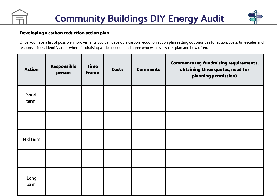

## Developing a carbon reduction action plan

Once you have a list of possible improvements you can develop a carbon reduction action plan setting out priorities for action, costs, timescales and responsibilities. Identify areas where fundraising will be needed and agree who will review this plan and how often.

| <b>Action</b> | Responsible<br>person | <b>Time</b><br>frame | Costs | <b>Comments</b> | <b>Comments (eg fundraising requirements,</b><br>obtaining three quotes, need for<br>planning permission) |
|---------------|-----------------------|----------------------|-------|-----------------|-----------------------------------------------------------------------------------------------------------|
| Short<br>term |                       |                      |       |                 |                                                                                                           |
|               |                       |                      |       |                 |                                                                                                           |
| Mid term      |                       |                      |       |                 |                                                                                                           |
|               |                       |                      |       |                 |                                                                                                           |
| Long<br>term  |                       |                      |       |                 |                                                                                                           |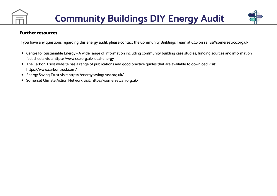

## Further resources

If you have any questions regarding this energy audit, please contact the Community Buildings Team at CCS on **[sallys@somersetrcc.org.uk](mailto:sallys@somersetrcc.org.uk)**

- Centre for Sustainable Energy A wide range of information including community building case studies, funding sources and information fact sheets visit: https://www.cse.org.uk/local-energy
- The [Carbon](http://www.carbontrust.co.uk/) Trust website has a range of publications and good practice guides that are available to download visit: https://www.carbontrust.com/
- [Energy](https://energysavingtrust.org.uk/) Saving Trust visit: https://energysavingtrust.org.uk/
- [Somerset](https://somersetcan.org.uk/) Climate Action Network visit: https://somersetcan.org.uk/